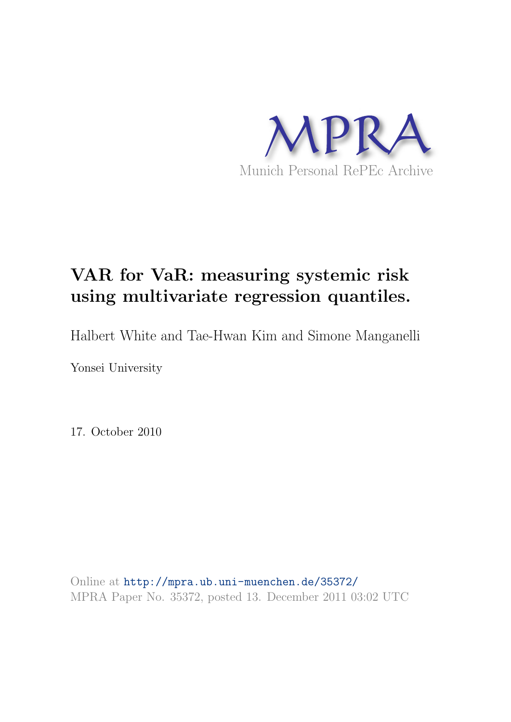

## VAR for VaR: measuring systemic risk using multivariate regression quantiles.

Halbert White and Tae-Hwan Kim and Simone Manganelli

Yonsei University

17. October 2010

Online at <http://mpra.ub.uni-muenchen.de/35372/> MPRA Paper No. 35372, posted 13. December 2011 03:02 UTC